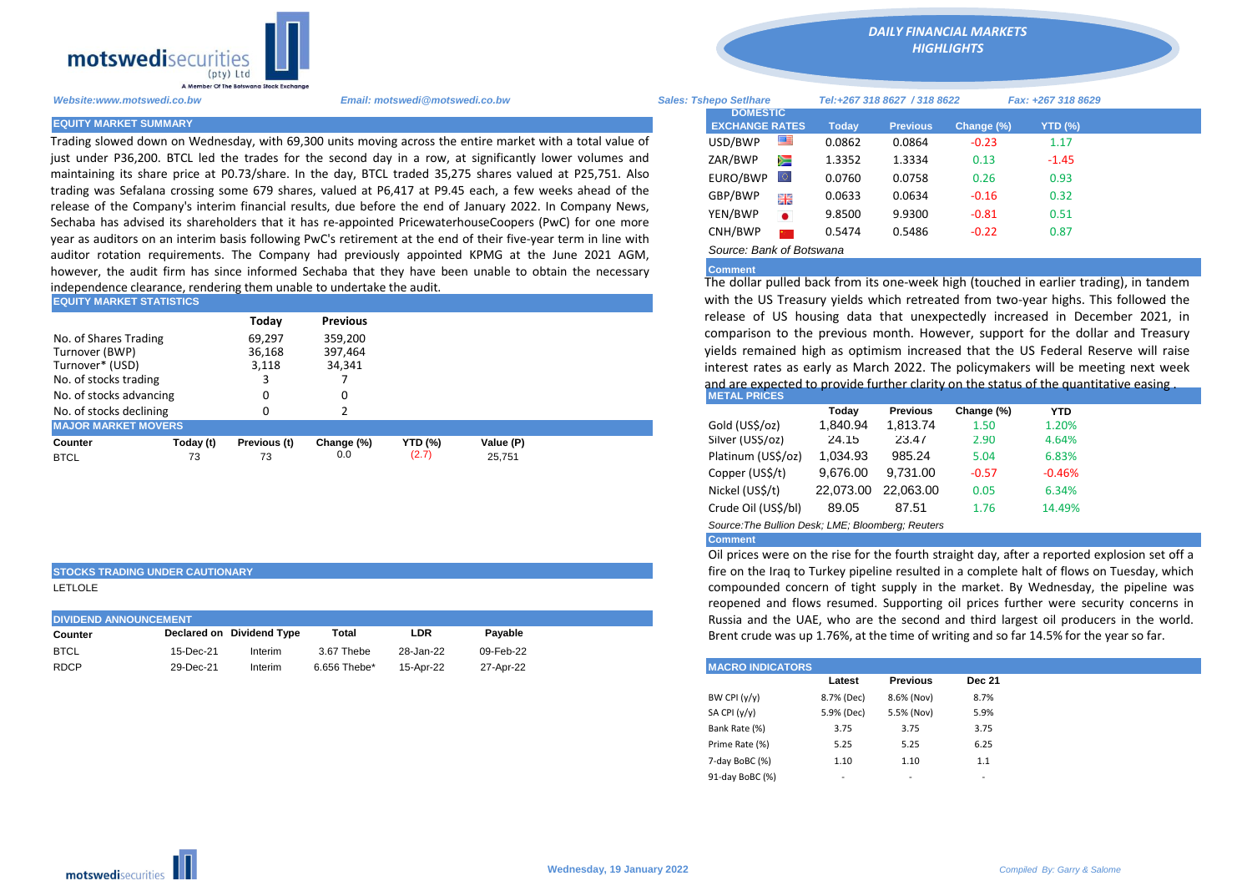

Trading slowed down on Wednesday, with 69,300 units moving across the entire market with a total value of just under P36,200. BTCL led the trades for the second day in a row, at significantly lower volumes and maintaining its share price at P0.73/share. In the day, BTCL traded 35,275 shares valued at P25,751. Also trading was Sefalana crossing some 679 shares, valued at P6,417 at P9.45 each, a few weeks ahead of the release of the Company's interim financial results, due before the end of January 2022. In Company News, Sechaba has advised its shareholders that it has re-appointed PricewaterhouseCoopers (PwC) for one more year as auditors on an interim basis following PwC's retirement at the end of their five-year term in line with auditor rotation requirements. The Company had previously appointed KPMG at the June 2021 AGM, however, the audit firm has since informed Sechaba that they have been unable to obtain the necessary independence clearance, rendering them unable to undertake the audit.

| <b>EQUITY MARKET STATISTICS</b>                                                     |           |                                    |                                          |                | with the US Treasury yields which retreated from two-year highs. Th |  |                                                                                                                                                                                                                                                                                                                                                             |          |                 |            |            |  |
|-------------------------------------------------------------------------------------|-----------|------------------------------------|------------------------------------------|----------------|---------------------------------------------------------------------|--|-------------------------------------------------------------------------------------------------------------------------------------------------------------------------------------------------------------------------------------------------------------------------------------------------------------------------------------------------------------|----------|-----------------|------------|------------|--|
| No. of Shares Trading<br>Turnover (BWP)<br>Turnover* (USD)<br>No. of stocks trading |           | Today<br>69.297<br>36,168<br>3,118 | Previous<br>359.200<br>397,464<br>34,341 |                |                                                                     |  | release of US housing data that unexpectedly increased in Dece<br>comparison to the previous month. However, support for the dolla<br>vields remained high as optimism increased that the US Federal Res<br>interest rates as early as March 2022. The policymakers will be mee<br>and are expected to provide further clarity on the status of the quantit |          |                 |            |            |  |
| No. of stocks advancing                                                             |           |                                    |                                          |                |                                                                     |  | <b>METAL PRICES</b>                                                                                                                                                                                                                                                                                                                                         |          |                 |            |            |  |
| No. of stocks declining                                                             |           |                                    |                                          |                |                                                                     |  |                                                                                                                                                                                                                                                                                                                                                             | Todav    | <b>Previous</b> | Change (%) | <b>YTD</b> |  |
| <b>MAJOR MARKET MOVERS</b>                                                          |           |                                    |                                          |                |                                                                     |  | Gold (US\$/oz)                                                                                                                                                                                                                                                                                                                                              | 1.840.94 | 1.813.74        | 1.50       | 1.20%      |  |
| Counter                                                                             | Today (t) | Previous (t)                       | Change (%)                               | <b>YTD (%)</b> | Value (P)                                                           |  | Silver (USS/oz)                                                                                                                                                                                                                                                                                                                                             | 24.15    | 23.47           | 2.90       | 4.64%      |  |
| <b>BTCL</b>                                                                         | 73        | 73                                 | 0.0                                      | (2.7)          | 25.751                                                              |  | Platinum (US\$/oz)                                                                                                                                                                                                                                                                                                                                          | 1,034.93 | 985.24          | 5.04       | 6.83%      |  |

**STOCKS TRADING UNDER CAUTIONARY**

LETLOLE

| <b>DIVIDEND ANNOUNCEMENT</b> |           |                           |              |           |           |  |  |  |  |
|------------------------------|-----------|---------------------------|--------------|-----------|-----------|--|--|--|--|
| Counter                      |           | Declared on Dividend Type | Total        | LDR       | Pavable   |  |  |  |  |
| <b>BTCL</b>                  | 15-Dec-21 | Interim                   | 3.67 Thebe   | 28-Jan-22 | 09-Feb-22 |  |  |  |  |
| <b>RDCP</b>                  | 29-Dec-21 | Interim                   | 6.656 Thebe* | 15-Apr-22 | 27-Apr-22 |  |  |  |  |

*Website:www.motswedi.co.bw Email: motswedi@motswedi.co.bw Sales: Tshepo Setlhare Tel:+267 318 8627 / 318 8622 Fax: +267 318 8629*  **EQUITY MARKET SUMMARY Today Previous Change (%) YTD (%)**  $\text{USD/BWP}$   $\blacksquare$  0.0862 0.0864 -0.23 1.17 ZAR/BWP **1.3352** 1.3334 0.13 -1.45 EURO/BWP 0.0760 0.0758 0.26 0.93 GBP/BWP **EXECUTE:** 0.0633 0.0634 -0.16 0.32 YEN/BWP 9.8500 9.9300 -0.81 0.51 CNH/BWP 2 0.5474 0.5486 -0.22 0.87 **DOMESTIC EXCHANGE RATES**

*DAILY FINANCIAL MARKETS HIGHLIGHTS*

*Source: Bank of Botswana* 

**Comment**

The dollar pulled back from its one-week high (touched in earlier trading), in tandem with the US Treasury yields which retreated from two-year highs. This followed the release of US housing data that unexpectedly increased in December 2021, in comparison to the previous month. However, support for the dollar and Treasury yields remained high as optimism increased that the US Federal Reserve will raise interest rates as early as March 2022. The policymakers will be meeting next week and are expected to provide further clarity on the status of the quantitative easing.<br>METAL PRICES

|                                                   | Today     | <b>Previous</b> | Change (%) | <b>YTD</b> |  |  |  |  |  |  |  |
|---------------------------------------------------|-----------|-----------------|------------|------------|--|--|--|--|--|--|--|
| Gold (US\$/oz)                                    | 1,840.94  | 1,813.74        | 1.50       | 1.20%      |  |  |  |  |  |  |  |
| Silver (US\$/oz)                                  | 24.15     | 23.47           | 2.90       | 4.64%      |  |  |  |  |  |  |  |
| Platinum (US\$/oz)                                | 1.034.93  | 985.24          | 5.04       | 6.83%      |  |  |  |  |  |  |  |
| Copper (US\$/t)                                   | 9.676.00  | 9.731.00        | $-0.57$    | $-0.46%$   |  |  |  |  |  |  |  |
| Nickel (US\$/t)                                   | 22.073.00 | 22.063.00       | 0.05       | 6.34%      |  |  |  |  |  |  |  |
| Crude Oil (US\$/bl)                               | 89.05     | 87.51           | 1.76       | 14.49%     |  |  |  |  |  |  |  |
| Source: The Bullion Desk; LME; Bloomberg: Reuters |           |                 |            |            |  |  |  |  |  |  |  |

## **Comment**

Oil prices were on the rise for the fourth straight day, after a reported explosion set off a fire on the Iraq to Turkey pipeline resulted in a complete halt of flows on Tuesday, which compounded concern of tight supply in the market. By Wednesday, the pipeline was reopened and flows resumed. Supporting oil prices further were security concerns in Russia and the UAE, who are the second and third largest oil producers in the world. Brent crude was up 1.76%, at the time of writing and so far 14.5% for the year so far.

| <b>MACRO INDICATORS</b> |            |                 |               |
|-------------------------|------------|-----------------|---------------|
|                         | Latest     | <b>Previous</b> | <b>Dec 21</b> |
| BW CPI (y/y)            | 8.7% (Dec) | 8.6% (Nov)      | 8.7%          |
| SA CPI (y/y)            | 5.9% (Dec) | 5.5% (Nov)      | 5.9%          |
| Bank Rate (%)           | 3.75       | 3.75            | 3.75          |
| Prime Rate (%)          | 5.25       | 5.25            | 6.25          |
| 7-day BoBC (%)          | 1.10       | 1.10            | 1.1           |
| 91-day BoBC (%)         | ۰          | -               | -             |
|                         |            |                 |               |